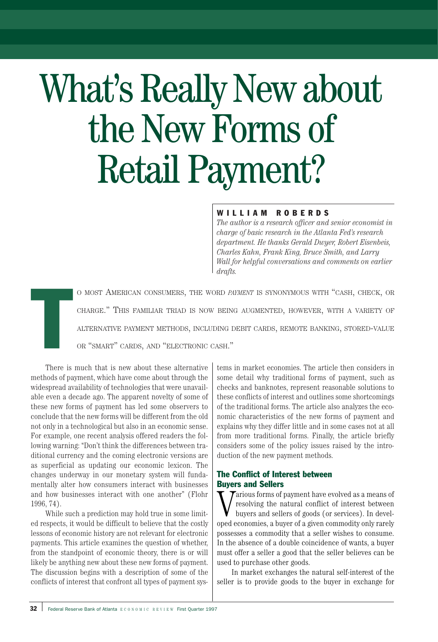# What's Really New about the New Forms of Retail Payment?

# WILLIAM ROBERDS

*The author is a research officer and senior economist in charge of basic research in the Atlanta Fed's research department. He thanks Gerald Dwyer, Robert Eisenbeis, Charles Kahn, Frank King, Bruce Smith, and Larry Wall for helpful conversations and comments on earlier drafts.*

O MOST AMERICAN CONSUMERS, THE WORD *PAYMENT* IS SYNONYMOUS WITH "CASH, CHECK, OR CHARGE." THIS FAMILIAR TRIAD IS NOW BEING AUGMENTED, HOWEVER, WITH A VARIETY OF ALTERNATIVE PAYMENT METHODS, INCLUDING DEBIT CARDS, REMOTE BANKING, STORED-VALUE OR "SMART" CARDS, AND "ELECTRONIC CASH."

T There is much that is new about these alternative methods of payment, which have come about through the widespread availability of technologies that were unavailable even a decade ago. The apparent novelty of some of these new forms of payment has led some observers to conclude that the new forms will be different from the old not only in a technological but also in an economic sense. For example, one recent analysis offered readers the following warning: "Don't think the differences between traditional currency and the coming electronic versions are as superficial as updating our economic lexicon. The changes underway in our monetary system will fundamentally alter how consumers interact with businesses and how businesses interact with one another" (Flohr 1996, 74).

While such a prediction may hold true in some limited respects, it would be difficult to believe that the costly lessons of economic history are not relevant for electronic payments. This article examines the question of whether, from the standpoint of economic theory, there is or will likely be anything new about these new forms of payment. The discussion begins with a description of some of the conflicts of interest that confront all types of payment systems in market economies. The article then considers in some detail why traditional forms of payment, such as checks and banknotes, represent reasonable solutions to these conflicts of interest and outlines some shortcomings of the traditional forms. The article also analyzes the economic characteristics of the new forms of payment and explains why they differ little and in some cases not at all from more traditional forms. Finally, the article briefly considers some of the policy issues raised by the introduction of the new payment methods.

# The Conflict of Interest between Buyers and Sellers

**W** raious forms of payment have evolved as a means of resolving the natural conflict of interest between buyers and sellers of goods (or services). In developed economies, a buyer of a given commodity only rarely  $\tau$ arious forms of payment have evolved as a means of resolving the natural conflict of interest between buyers and sellers of goods (or services). In develpossesses a commodity that a seller wishes to consume. In the absence of a double coincidence of wants, a buyer must offer a seller a good that the seller believes can be used to purchase other goods.

In market exchanges the natural self-interest of the seller is to provide goods to the buyer in exchange for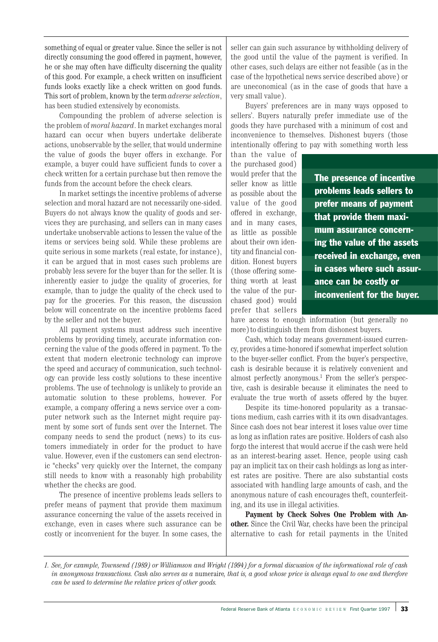something of equal or greater value. Since the seller is not directly consuming the good offered in payment, however, he or she may often have difficulty discerning the quality of this good. For example, a check written on insufficient funds looks exactly like a check written on good funds. This sort of problem, known by the term *adverse selection*, has been studied extensively by economists.

Compounding the problem of adverse selection is the problem of *moral hazard*. In market exchanges moral hazard can occur when buyers undertake deliberate actions, unobservable by the seller, that would undermine the value of goods the buyer offers in exchange. For example, a buyer could have sufficient funds to cover a check written for a certain purchase but then remove the funds from the account before the check clears.

In market settings the incentive problems of adverse selection and moral hazard are not necessarily one-sided. Buyers do not always know the quality of goods and services they are purchasing, and sellers can in many cases undertake unobservable actions to lessen the value of the items or services being sold. While these problems are quite serious in some markets (real estate, for instance), it can be argued that in most cases such problems are probably less severe for the buyer than for the seller. It is inherently easier to judge the quality of groceries, for example, than to judge the quality of the check used to pay for the groceries. For this reason, the discussion below will concentrate on the incentive problems faced by the seller and not the buyer.

All payment systems must address such incentive problems by providing timely, accurate information concerning the value of the goods offered in payment. To the extent that modern electronic technology can improve the speed and accuracy of communication, such technology can provide less costly solutions to these incentive problems. The use of technology is unlikely to provide an automatic solution to these problems, however. For example, a company offering a news service over a computer network such as the Internet might require payment by some sort of funds sent over the Internet. The company needs to send the product (news) to its customers immediately in order for the product to have value. However, even if the customers can send electronic "checks" very quickly over the Internet, the company still needs to know with a reasonably high probability whether the checks are good.

The presence of incentive problems leads sellers to prefer means of payment that provide them maximum assurance concerning the value of the assets received in exchange, even in cases where such assurance can be costly or inconvenient for the buyer. In some cases, the

seller can gain such assurance by withholding delivery of the good until the value of the payment is verified. In other cases, such delays are either not feasible (as in the case of the hypothetical news service described above) or are uneconomical (as in the case of goods that have a very small value).

Buyers' preferences are in many ways opposed to sellers'. Buyers naturally prefer immediate use of the goods they have purchased with a minimum of cost and inconvenience to themselves. Dishonest buyers (those intentionally offering to pay with something worth less

than the value of the purchased good) would prefer that the seller know as little as possible about the value of the good offered in exchange, and in many cases, as little as possible about their own identity and financial condition. Honest buyers (those offering something worth at least the value of the purchased good) would prefer that sellers

The presence of incentive problems leads sellers to prefer means of payment that provide them maximum assurance concerning the value of the assets received in exchange, even in cases where such assurance can be costly or inconvenient for the buyer.

have access to enough information (but generally no more) to distinguish them from dishonest buyers.

Cash, which today means government-issued currency, provides a time-honored if somewhat imperfect solution to the buyer-seller conflict. From the buyer's perspective, cash is desirable because it is relatively convenient and almost perfectly anonymous.<sup>1</sup> From the seller's perspective, cash is desirable because it eliminates the need to evaluate the true worth of assets offered by the buyer.

Despite its time-honored popularity as a transactions medium, cash carries with it its own disadvantages. Since cash does not bear interest it loses value over time as long as inflation rates are positive. Holders of cash also forgo the interest that would accrue if the cash were held as an interest-bearing asset. Hence, people using cash pay an implicit tax on their cash holdings as long as interest rates are positive. There are also substantial costs associated with handling large amounts of cash, and the anonymous nature of cash encourages theft, counterfeiting, and its use in illegal activities.

**Payment by Check Solves One Problem with Another.** Since the Civil War, checks have been the principal alternative to cash for retail payments in the United

*<sup>1.</sup> See, for example, Townsend (1989) or Williamson and Wright (1994) for a formal discussion of the informational role of cash in anonymous transactions. Cash also serves as a* numeraire*, that is, a good whose price is always equal to one and therefore can be used to determine the relative prices of other goods.*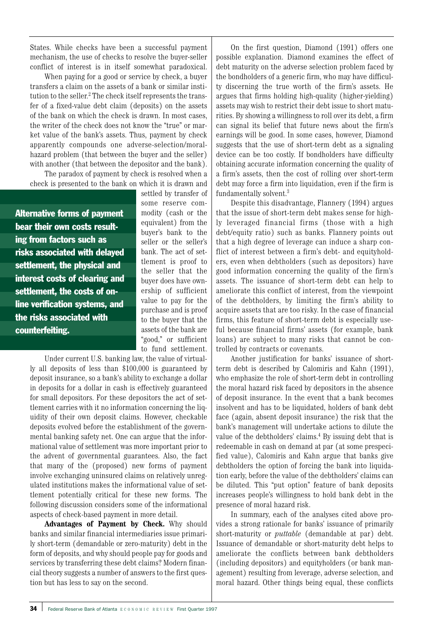States. While checks have been a successful payment mechanism, the use of checks to resolve the buyer-seller conflict of interest is in itself somewhat paradoxical.

When paying for a good or service by check, a buyer transfers a claim on the assets of a bank or similar institution to the seller. <sup>2</sup> The check itself represents the transfer of a fixed-value debt claim (deposits) on the assets of the bank on which the check is drawn. In most cases, the writer of the check does not know the "true" or market value of the bank's assets. Thus, payment by check apparently compounds one adverse-selection/moralhazard problem (that between the buyer and the seller) with another (that between the depositor and the bank).

The paradox of payment by check is resolved when a check is presented to the bank on which it is drawn and

Alternative forms of payment bear their own costs resulting from factors such as risks associated with delayed settlement, the physical and interest costs of clearing and settlement, the costs of online verification systems, and the risks associated with counterfeiting.

settled by transfer of some reserve commodity (cash or the equivalent) from the buyer's bank to the seller or the seller's bank. The act of settlement is proof to the seller that the buyer does have ownership of sufficient value to pay for the purchase and is proof to the buyer that the assets of the bank are "good," or sufficient to fund settlement.

Under current U.S. banking law, the value of virtually all deposits of less than \$100,000 is guaranteed by deposit insurance, so a bank's ability to exchange a dollar in deposits for a dollar in cash is effectively guaranteed for small depositors. For these depositors the act of settlement carries with it no information concerning the liquidity of their own deposit claims. However, checkable deposits evolved before the establishment of the governmental banking safety net. One can argue that the informational value of settlement was more important prior to the advent of governmental guarantees. Also, the fact that many of the (proposed) new forms of payment involve exchanging uninsured claims on relatively unregulated institutions makes the informational value of settlement potentially critical for these new forms. The following discussion considers some of the informational aspects of check-based payment in more detail.

**Advantages of Payment by Check.** Why should banks and similar financial intermediaries issue primarily short-term (demandable or zero-maturity) debt in the form of deposits, and why should people pay for goods and services by transferring these debt claims? Modern financial theory suggests a number of answers to the first question but has less to say on the second.

On the first question, Diamond (1991) offers one possible explanation. Diamond examines the effect of debt maturity on the adverse selection problem faced by the bondholders of a generic firm, who may have difficulty discerning the true worth of the firm's assets. He argues that firms holding high-quality (higher-yielding) assets may wish to restrict their debt issue to short maturities. By showing a willingness to roll over its debt, a firm can signal its belief that future news about the firm's earnings will be good. In some cases, however, Diamond suggests that the use of short-term debt as a signaling device can be too costly. If bondholders have difficulty obtaining accurate information concerning the quality of a firm's assets, then the cost of rolling over short-term debt may force a firm into liquidation, even if the firm is fundamentally solvent.3

Despite this disadvantage, Flannery (1994) argues that the issue of short-term debt makes sense for highly leveraged financial firms (those with a high debt/equity ratio) such as banks. Flannery points out that a high degree of leverage can induce a sharp conflict of interest between a firm's debt- and equityholders, even when debtholders (such as depositors) have good information concerning the quality of the firm's assets. The issuance of short-term debt can help to ameliorate this conflict of interest, from the viewpoint of the debtholders, by limiting the firm's ability to acquire assets that are too risky. In the case of financial firms, this feature of short-term debt is especially useful because financial firms' assets (for example, bank loans) are subject to many risks that cannot be controlled by contracts or covenants.

Another justification for banks' issuance of shortterm debt is described by Calomiris and Kahn (1991), who emphasize the role of short-term debt in controlling the moral hazard risk faced by depositors in the absence of deposit insurance. In the event that a bank becomes insolvent and has to be liquidated, holders of bank debt face (again, absent deposit insurance) the risk that the bank's management will undertake actions to dilute the value of the debtholders' claims.4 By issuing debt that is redeemable in cash on demand at par (at some prespecified value), Calomiris and Kahn argue that banks give debtholders the option of forcing the bank into liquidation early, before the value of the debtholders' claims can be diluted. This "put option" feature of bank deposits increases people's willingness to hold bank debt in the presence of moral hazard risk.

In summary, each of the analyses cited above provides a strong rationale for banks' issuance of primarily short-maturity or *puttable* (demandable at par) debt. Issuance of demandable or short-maturity debt helps to ameliorate the conflicts between bank debtholders (including depositors) and equityholders (or bank management) resulting from leverage, adverse selection, and moral hazard. Other things being equal, these conflicts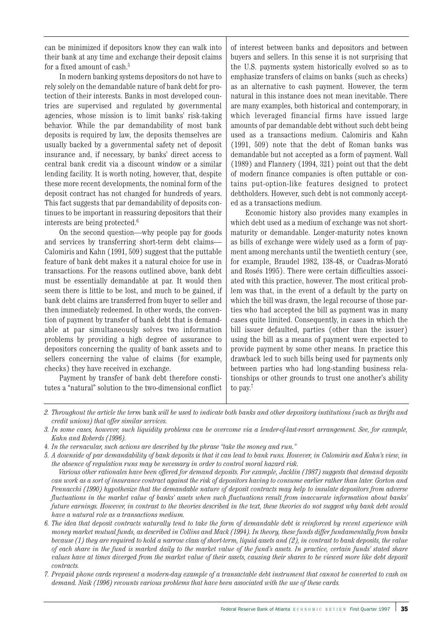can be minimized if depositors know they can walk into their bank at any time and exchange their deposit claims for a fixed amount of cash.<sup>5</sup>

In modern banking systems depositors do not have to rely solely on the demandable nature of bank debt for protection of their interests. Banks in most developed countries are supervised and regulated by governmental agencies, whose mission is to limit banks' risk-taking behavior. While the par demandability of most bank deposits is required by law, the deposits themselves are usually backed by a governmental safety net of deposit insurance and, if necessary, by banks' direct access to central bank credit via a discount window or a similar lending facility. It is worth noting, however, that, despite these more recent developments, the nominal form of the deposit contract has not changed for hundreds of years. This fact suggests that par demandability of deposits continues to be important in reassuring depositors that their interests are being protected.6

On the second question—why people pay for goods and services by transferring short-term debt claims— Calomiris and Kahn (1991, 509) suggest that the puttable feature of bank debt makes it a natural choice for use in transactions. For the reasons outlined above, bank debt must be essentially demandable at par. It would then seem there is little to be lost, and much to be gained, if bank debt claims are transferred from buyer to seller and then immediately redeemed. In other words, the convention of payment by transfer of bank debt that is demandable at par simultaneously solves two information problems by providing a high degree of assurance to depositors concerning the quality of bank assets and to sellers concerning the value of claims (for example, checks) they have received in exchange.

Payment by transfer of bank debt therefore constitutes a "natural" solution to the two-dimensional conflict of interest between banks and depositors and between buyers and sellers. In this sense it is not surprising that the U.S. payments system historically evolved so as to emphasize transfers of claims on banks (such as checks) as an alternative to cash payment. However, the term natural in this instance does not mean inevitable. There are many examples, both historical and contemporary, in which leveraged financial firms have issued large amounts of par demandable debt without such debt being used as a transactions medium. Calomiris and Kahn (1991, 509) note that the debt of Roman banks was demandable but not accepted as a form of payment. Wall (1989) and Flannery (1994, 321) point out that the debt of modern finance companies is often puttable or contains put-option-like features designed to protect debtholders. However, such debt is not commonly accepted as a transactions medium.

Economic history also provides many examples in which debt used as a medium of exchange was not shortmaturity or demandable. Longer-maturity notes known as bills of exchange were widely used as a form of payment among merchants until the twentieth century (see, for example, Braudel 1982, 138-48, or Cuadras-Morató and Rosés 1995). There were certain difficulties associated with this practice, however. The most critical problem was that, in the event of a default by the party on which the bill was drawn, the legal recourse of those parties who had accepted the bill as payment was in many cases quite limited. Consequently, in cases in which the bill issuer defaulted, parties (other than the issuer) using the bill as a means of payment were expected to provide payment by some other means. In practice this drawback led to such bills being used for payments only between parties who had long-standing business relationships or other grounds to trust one another's ability to pay.<sup>7</sup>

*Various other rationales have been offered for demand deposits. For example, Jacklin (1987) suggests that demand deposits can work as a sort of insurance contract against the risk of depositors having to consume earlier rather than later. Gorton and Pennacchi (1990) hypothesize that the demandable nature of deposit contracts may help to insulate depositors from adverse fluctuations in the market value of banks' assets when such fluctuations result from inaccurate information about banks' future earnings. However, in contrast to the theories described in the text, these theories do not suggest why bank debt would have a natural role as a transactions medium.*

*<sup>2.</sup> Throughout the article the term* bank *will be used to indicate both banks and other depository institutions (such as thrifts and credit unions) that offer similar services.*

*<sup>3.</sup> In some cases, however, such liquidity problems can be overcome via a lender-of-last-resort arrangement. See, for example, Kahn and Roberds (1996).*

*<sup>4.</sup> In the vernacular, such actions are described by the phrase "take the money and run."*

*<sup>5.</sup> A downside of par demandability of bank deposits is that it can lead to bank runs. However, in Calomiris and Kahn's view, in the absence of regulation runs may be necessary in order to control moral hazard risk.* 

*<sup>6.</sup> The idea that deposit contracts naturally tend to take the form of demandable debt is reinforced by recent experience with money market mutual funds, as described in Collins and Mack (1994). In theory, these funds differ fundamentally from banks because (1) they are required to hold a narrow class of short-term, liquid assets and (2), in contrast to bank deposits, the value of each share in the fund is marked daily to the market value of the fund's assets. In practice, certain funds' stated share values have at times diverged from the market value of their assets, causing their shares to be viewed more like debt deposit contracts.*

*<sup>7.</sup> Prepaid phone cards represent a modern-day example of a transactable debt instrument that cannot be converted to cash on demand. Naik (1996) recounts various problems that have been associated with the use of these cards.*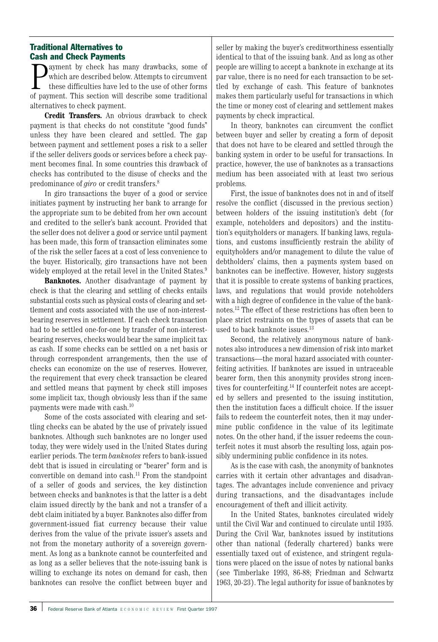# Traditional Alternatives to Cash and Check Payments

**P** ayment by check has many drawbacks, some of which are described below. Attempts to circumvent these difficulties have led to the use of other forms of payment. This section will describe some traditional ayment by check has many drawbacks, some of which are described below. Attempts to circumvent these difficulties have led to the use of other forms alternatives to check payment.

**Credit Transfers.** An obvious drawback to check payment is that checks do not constitute "good funds" unless they have been cleared and settled. The gap between payment and settlement poses a risk to a seller if the seller delivers goods or services before a check payment becomes final. In some countries this drawback of checks has contributed to the disuse of checks and the predominance of *giro* or credit transfers.8

In giro transactions the buyer of a good or service initiates payment by instructing her bank to arrange for the appropriate sum to be debited from her own account and credited to the seller's bank account. Provided that the seller does not deliver a good or service until payment has been made, this form of transaction eliminates some of the risk the seller faces at a cost of less convenience to the buyer. Historically, giro transactions have not been widely employed at the retail level in the United States.<sup>9</sup>

**Banknotes.** Another disadvantage of payment by check is that the clearing and settling of checks entails substantial costs such as physical costs of clearing and settlement and costs associated with the use of non-interestbearing reserves in settlement. If each check transaction had to be settled one-for-one by transfer of non-interestbearing reserves, checks would bear the same implicit tax as cash. If some checks can be settled on a net basis or through correspondent arrangements, then the use of checks can economize on the use of reserves. However, the requirement that every check transaction be cleared and settled means that payment by check still imposes some implicit tax, though obviously less than if the same payments were made with cash.10

Some of the costs associated with clearing and settling checks can be abated by the use of privately issued banknotes. Although such banknotes are no longer used today, they were widely used in the United States during earlier periods. The term *banknotes* refers to bank-issued debt that is issued in circulating or "bearer" form and is convertible on demand into cash.11 From the standpoint of a seller of goods and services, the key distinction between checks and banknotes is that the latter is a debt claim issued directly by the bank and not a transfer of a debt claim initiated by a buyer. Banknotes also differ from government-issued fiat currency because their value derives from the value of the private issuer's assets and not from the monetary authority of a sovereign government. As long as a banknote cannot be counterfeited and as long as a seller believes that the note-issuing bank is willing to exchange its notes on demand for cash, then banknotes can resolve the conflict between buyer and

seller by making the buyer's creditworthiness essentially identical to that of the issuing bank. And as long as other people are willing to accept a banknote in exchange at its par value, there is no need for each transaction to be settled by exchange of cash. This feature of banknotes makes them particularly useful for transactions in which the time or money cost of clearing and settlement makes payments by check impractical.

In theory, banknotes can circumvent the conflict between buyer and seller by creating a form of deposit that does not have to be cleared and settled through the banking system in order to be useful for transactions. In practice, however, the use of banknotes as a transactions medium has been associated with at least two serious problems.

First, the issue of banknotes does not in and of itself resolve the conflict (discussed in the previous section) between holders of the issuing institution's debt (for example, noteholders and depositors) and the institution's equityholders or managers. If banking laws, regulations, and customs insufficiently restrain the ability of equityholders and/or management to dilute the value of debtholders' claims, then a payments system based on banknotes can be ineffective. However, history suggests that it is possible to create systems of banking practices, laws, and regulations that would provide noteholders with a high degree of confidence in the value of the banknotes.12 The effect of these restrictions has often been to place strict restraints on the types of assets that can be used to back banknote issues.<sup>13</sup>

Second, the relatively anonymous nature of banknotes also introduces a new dimension of risk into market transactions—the moral hazard associated with counterfeiting activities. If banknotes are issued in untraceable bearer form, then this anonymity provides strong incentives for counterfeiting.14 If counterfeit notes are accepted by sellers and presented to the issuing institution, then the institution faces a difficult choice. If the issuer fails to redeem the counterfeit notes, then it may undermine public confidence in the value of its legitimate notes. On the other hand, if the issuer redeems the counterfeit notes it must absorb the resulting loss, again possibly undermining public confidence in its notes.

As is the case with cash, the anonymity of banknotes carries with it certain other advantages and disadvantages. The advantages include convenience and privacy during transactions, and the disadvantages include encouragement of theft and illicit activity.

In the United States, banknotes circulated widely until the Civil War and continued to circulate until 1935. During the Civil War, banknotes issued by institutions other than national (federally chartered) banks were essentially taxed out of existence, and stringent regulations were placed on the issue of notes by national banks (see Timberlake 1993, 86-88; Friedman and Schwartz 1963, 20-23). The legal authority for issue of banknotes by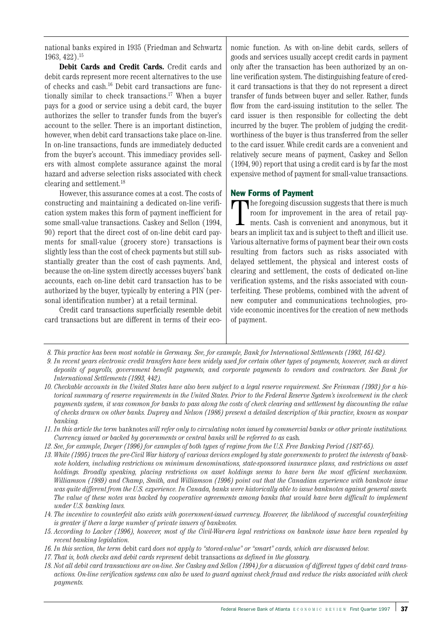national banks expired in 1935 (Friedman and Schwartz 1963, 422).15

**Debit Cards and Credit Cards.** Credit cards and debit cards represent more recent alternatives to the use of checks and cash.16 Debit card transactions are functionally similar to check transactions.<sup>17</sup> When a buyer pays for a good or service using a debit card, the buyer authorizes the seller to transfer funds from the buyer's account to the seller. There is an important distinction, however, when debit card transactions take place on-line. In on-line transactions, funds are immediately deducted from the buyer's account. This immediacy provides sellers with almost complete assurance against the moral hazard and adverse selection risks associated with check clearing and settlement.18

However, this assurance comes at a cost. The costs of constructing and maintaining a dedicated on-line verification system makes this form of payment inefficient for some small-value transactions. Caskey and Sellon (1994, 90) report that the direct cost of on-line debit card payments for small-value (grocery store) transactions is slightly less than the cost of check payments but still substantially greater than the cost of cash payments. And, because the on-line system directly accesses buyers' bank accounts, each on-line debit card transaction has to be authorized by the buyer, typically by entering a PIN (personal identification number) at a retail terminal.

Credit card transactions superficially resemble debit card transactions but are different in terms of their economic function. As with on-line debit cards, sellers of goods and services usually accept credit cards in payment only after the transaction has been authorized by an online verification system. The distinguishing feature of credit card transactions is that they do not represent a direct transfer of funds between buyer and seller. Rather, funds flow from the card-issuing institution to the seller. The card issuer is then responsible for collecting the debt incurred by the buyer. The problem of judging the creditworthiness of the buyer is thus transferred from the seller to the card issuer. While credit cards are a convenient and relatively secure means of payment, Caskey and Sellon (1994, 90) report that using a credit card is by far the most expensive method of payment for small-value transactions.

#### New Forms of Payment

<sup>n</sup> he foregoing discussion suggests that there is much room for improvement in the area of retail payments. Cash is convenient and anonymous, but it bears an implicit tax and is subject to theft and illicit use. Various alternative forms of payment bear their own costs resulting from factors such as risks associated with delayed settlement, the physical and interest costs of clearing and settlement, the costs of dedicated on-line verification systems, and the risks associated with counterfeiting. These problems, combined with the advent of new computer and communications technologies, provide economic incentives for the creation of new methods of payment.

- *8. This practice has been most notable in Germany. See, for example, Bank for International Settlements (1993, 161-62).*
- *9. In recent years electronic credit transfers have been widely used for certain other types of payments, however, such as direct deposits of payrolls, government benefit payments, and corporate payments to vendors and contractors. See Bank for International Settlements (1993, 442).*
- *10. Checkable accounts in the United States have also been subject to a legal reserve requirement. See Feinman (1993) for a historical summary of reserve requirements in the United States. Prior to the Federal Reserve System's involvement in the check payments system, it was common for banks to pass along the costs of check clearing and settlement by discounting the value of checks drawn on other banks. Duprey and Nelson (1986) present a detailed description of this practice, known as nonpar banking.*
- *11. In this article the term* banknotes *will refer only to circulating notes issued by commercial banks or other private institutions. Currency issued or backed by governments or central banks will be referred to as* cash*.*
- *12. See, for example, Dwyer (1996) for examples of both types of regime from the U.S. Free Banking Period (1837-65).*
- *13. White (1995) traces the pre-Civil War history of various devices employed by state governments to protect the interests of banknote holders, including restrictions on minimum denominations, state-sponsored insurance plans, and restrictions on asset holdings. Broadly speaking, placing restrictions on asset holdings seems to have been the most efficient mechanism. Williamson (1989) and Champ, Smith, and Williamson (1996) point out that the Canadian experience with banknote issue was quite different from the U.S. experience. In Canada, banks were historically able to issue banknotes against general assets. The value of these notes was backed by cooperative agreements among banks that would have been difficult to implement under U.S. banking laws.*
- *14. The incentive to counterfeit also exists with government-issued currency. However, the likelihood of successful counterfeiting is greater if there a large number of private issuers of banknotes.*
- *15. According to Lacker (1996), however, most of the Civil-War-era legal restrictions on banknote issue have been repealed by recent banking legislation.*
- *16. In this section, the term* debit card *does not apply to "stored-value" or "smart" cards, which are discussed below.*
- *17. That is, both checks and debit cards represent* debit transactions *as defined in the glossary.*
- *18. Not all debit card transactions are on-line. See Caskey and Sellon (1994) for a discussion of different types of debit card transactions. On-line verification systems can also be used to guard against check fraud and reduce the risks associated with check payments.*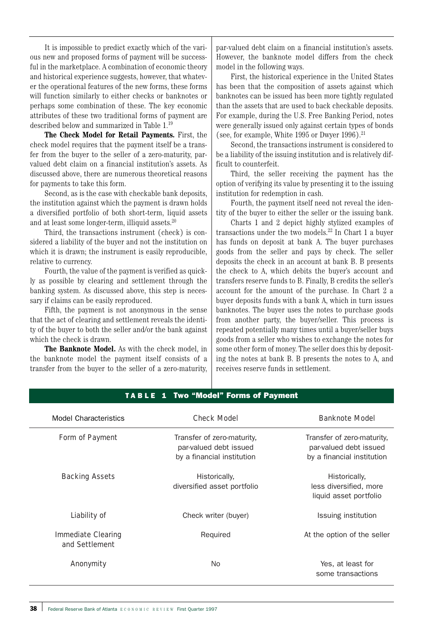It is impossible to predict exactly which of the various new and proposed forms of payment will be successful in the marketplace. A combination of economic theory and historical experience suggests, however, that whatever the operational features of the new forms, these forms will function similarly to either checks or banknotes or perhaps some combination of these. The key economic attributes of these two traditional forms of payment are described below and summarized in Table 1.19

**The Check Model for Retail Payments.** First, the check model requires that the payment itself be a transfer from the buyer to the seller of a zero-maturity, parvalued debt claim on a financial institution's assets. As discussed above, there are numerous theoretical reasons for payments to take this form.

Second, as is the case with checkable bank deposits, the institution against which the payment is drawn holds a diversified portfolio of both short-term, liquid assets and at least some longer-term, illiquid assets.20

Third, the transactions instrument (check) is considered a liability of the buyer and not the institution on which it is drawn; the instrument is easily reproducible, relative to currency.

Fourth, the value of the payment is verified as quickly as possible by clearing and settlement through the banking system. As discussed above, this step is necessary if claims can be easily reproduced.

Fifth, the payment is not anonymous in the sense that the act of clearing and settlement reveals the identity of the buyer to both the seller and/or the bank against which the check is drawn.

**The Banknote Model.** As with the check model, in the banknote model the payment itself consists of a transfer from the buyer to the seller of a zero-maturity, par-valued debt claim on a financial institution's assets. However, the banknote model differs from the check model in the following ways.

First, the historical experience in the United States has been that the composition of assets against which banknotes can be issued has been more tightly regulated than the assets that are used to back checkable deposits. For example, during the U.S. Free Banking Period, notes were generally issued only against certain types of bonds (see, for example, White 1995 or Dwyer  $1996$ ).<sup>21</sup>

Second, the transactions instrument is considered to be a liability of the issuing institution and is relatively difficult to counterfeit.

Third, the seller receiving the payment has the option of verifying its value by presenting it to the issuing institution for redemption in cash.

Fourth, the payment itself need not reveal the identity of the buyer to either the seller or the issuing bank.

Charts 1 and 2 depict highly stylized examples of transactions under the two models.22 In Chart 1 a buyer has funds on deposit at bank A. The buyer purchases goods from the seller and pays by check. The seller deposits the check in an account at bank B. B presents the check to A, which debits the buyer's account and transfers reserve funds to B. Finally, B credits the seller's account for the amount of the purchase. In Chart 2 a buyer deposits funds with a bank A, which in turn issues banknotes. The buyer uses the notes to purchase goods from another party, the buyer/seller. This process is repeated potentially many times until a buyer/seller buys goods from a seller who wishes to exchange the notes for some other form of money. The seller does this by depositing the notes at bank B. B presents the notes to A, and receives reserve funds in settlement.

| Model Characteristics                | <b>Check Model</b>                                                                 | <b>Banknote Model</b>                                                              |
|--------------------------------------|------------------------------------------------------------------------------------|------------------------------------------------------------------------------------|
| Form of Payment                      | Transfer of zero-maturity,<br>par-valued debt issued<br>by a financial institution | Transfer of zero-maturity.<br>par-valued debt issued<br>by a financial institution |
| <b>Backing Assets</b>                | Historically,<br>diversified asset portfolio                                       | Historically,<br>less diversified, more<br>liquid asset portfolio                  |
| Liability of                         | Check writer (buyer)                                                               | Issuing institution                                                                |
| Immediate Clearing<br>and Settlement | Required                                                                           | At the option of the seller                                                        |
| Anonymity                            | No.                                                                                | Yes, at least for<br>some transactions                                             |

#### TABLE 1 Two "Model" Forms of Payment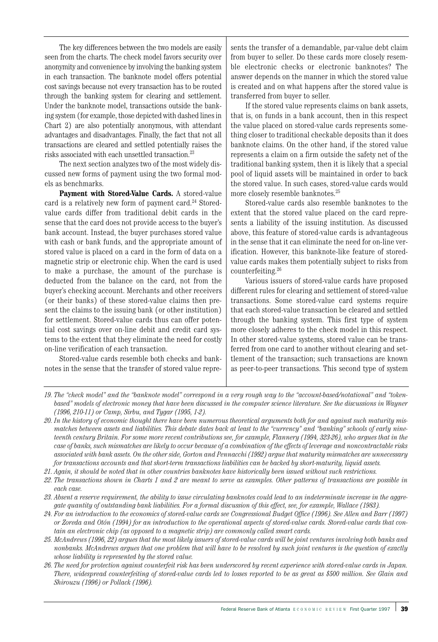The key differences between the two models are easily seen from the charts. The check model favors security over anonymity and convenience by involving the banking system in each transaction. The banknote model offers potential cost savings because not every transaction has to be routed through the banking system for clearing and settlement. Under the banknote model, transactions outside the banking system (for example, those depicted with dashed lines in Chart 2) are also potentially anonymous, with attendant advantages and disadvantages. Finally, the fact that not all transactions are cleared and settled potentially raises the risks associated with each unsettled transaction.23

The next section analyzes two of the most widely discussed new forms of payment using the two formal models as benchmarks.

**Payment with Stored-Value Cards.** A stored-value card is a relatively new form of payment card.<sup>24</sup> Storedvalue cards differ from traditional debit cards in the sense that the card does not provide access to the buyer's bank account. Instead, the buyer purchases stored value with cash or bank funds, and the appropriate amount of stored value is placed on a card in the form of data on a magnetic strip or electronic chip. When the card is used to make a purchase, the amount of the purchase is deducted from the balance on the card, not from the buyer's checking account. Merchants and other receivers (or their banks) of these stored-value claims then present the claims to the issuing bank (or other institution) for settlement. Stored-value cards thus can offer potential cost savings over on-line debit and credit card systems to the extent that they eliminate the need for costly on-line verification of each transaction.

Stored-value cards resemble both checks and banknotes in the sense that the transfer of stored value represents the transfer of a demandable, par-value debt claim from buyer to seller. Do these cards more closely resemble electronic checks or electronic banknotes? The answer depends on the manner in which the stored value is created and on what happens after the stored value is transferred from buyer to seller.

If the stored value represents claims on bank assets, that is, on funds in a bank account, then in this respect the value placed on stored-value cards represents something closer to traditional checkable deposits than it does banknote claims. On the other hand, if the stored value represents a claim on a firm outside the safety net of the traditional banking system, then it is likely that a special pool of liquid assets will be maintained in order to back the stored value. In such cases, stored-value cards would more closely resemble banknotes.25

Stored-value cards also resemble banknotes to the extent that the stored value placed on the card represents a liability of the issuing institution. As discussed above, this feature of stored-value cards is advantageous in the sense that it can eliminate the need for on-line verification. However, this banknote-like feature of storedvalue cards makes them potentially subject to risks from counterfeiting.26

Various issuers of stored-value cards have proposed different rules for clearing and settlement of stored-value transactions. Some stored-value card systems require that each stored-value transaction be cleared and settled through the banking system. This first type of system more closely adheres to the check model in this respect. In other stored-value systems, stored value can be transferred from one card to another without clearing and settlement of the transaction; such transactions are known as peer-to-peer transactions. This second type of system

*21. Again, it should be noted that in other countries banknotes have historically been issued without such restrictions.*

*<sup>19.</sup> The "check model" and the "banknote model" correspond in a very rough way to the "account-based/notational" and "tokenbased" models of electronic money that have been discussed in the computer science literature. See the discussions in Wayner (1996, 210-11) or Camp, Sirbu, and Tygar (1995, 1-2).*

*<sup>20.</sup> In the history of economic thought there have been numerous theoretical arguments both for and against such maturity mismatches between assets and liabilities. This debate dates back at least to the "currency" and "banking" schools of early nineteenth century Britain. For some more recent contributions see, for example, Flannery (1994, 323-26), who argues that in the case of banks, such mismatches are likely to occur because of a combination of the effects of leverage and noncontractable risks associated with bank assets. On the other side, Gorton and Pennacchi (1992) argue that maturity mismatches are unnecessary for transactions accounts and that short-term transactions liabilities can be backed by short-maturity, liquid assets.*

*<sup>22.</sup> The transactions shown in Charts 1 and 2 are meant to serve as examples. Other patterns of transactions are possible in each case.*

*<sup>23.</sup> Absent a reserve requirement, the ability to issue circulating banknotes could lead to an indeterminate increase in the aggregate quantity of outstanding bank liabilities. For a formal discussion of this effect, see, for example, Wallace (1983).*

*<sup>24.</sup> For an introduction to the economics of stored-value cards see Congressional Budget Office (1996). See Allen and Barr (1997) or Zoreda and Otón (1994) for an introduction to the operational aspects of stored-value cards. Stored-value cards that contain an electronic chip (as opposed to a magnetic strip) are commonly called smart cards.*

*<sup>25.</sup> McAndrews (1996, 22) argues that the most likely issuers of stored-value cards will be joint ventures involving both banks and nonbanks. McAndrews argues that one problem that will have to be resolved by such joint ventures is the question of exactly whose liability is represented by the stored value.*

*<sup>26.</sup> The need for protection against counterfeit risk has been underscored by recent experience with stored-value cards in Japan. There, widespread counterfeiting of stored-value cards led to losses reported to be as great as \$500 million. See Glain and Shirouzu (1996) or Pollack (1996).*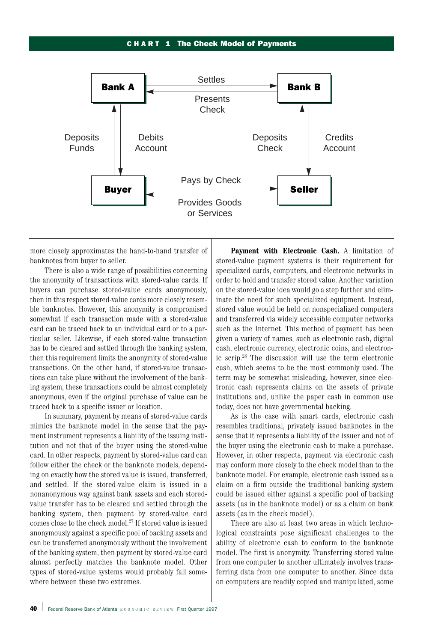#### CHA R T 1 The Check Model of Payments



more closely approximates the hand-to-hand transfer of banknotes from buyer to seller.

There is also a wide range of possibilities concerning the anonymity of transactions with stored-value cards. If buyers can purchase stored-value cards anonymously, then in this respect stored-value cards more closely resemble banknotes. However, this anonymity is compromised somewhat if each transaction made with a stored-value card can be traced back to an individual card or to a particular seller. Likewise, if each stored-value transaction has to be cleared and settled through the banking system, then this requirement limits the anonymity of stored-value transactions. On the other hand, if stored-value transactions can take place without the involvement of the banking system, these transactions could be almost completely anonymous, even if the original purchase of value can be traced back to a specific issuer or location.

In summary, payment by means of stored-value cards mimics the banknote model in the sense that the payment instrument represents a liability of the issuing institution and not that of the buyer using the stored-value card. In other respects, payment by stored-value card can follow either the check or the banknote models, depending on exactly how the stored value is issued, transferred, and settled. If the stored-value claim is issued in a nonanonymous way against bank assets and each storedvalue transfer has to be cleared and settled through the banking system, then payment by stored-value card comes close to the check model.27 If stored value is issued anonymously against a specific pool of backing assets and can be transferred anonymously without the involvement of the banking system, then payment by stored-value card almost perfectly matches the banknote model. Other types of stored-value systems would probably fall somewhere between these two extremes.

**Payment with Electronic Cash.** A limitation of stored-value payment systems is their requirement for specialized cards, computers, and electronic networks in order to hold and transfer stored value. Another variation on the stored-value idea would go a step further and eliminate the need for such specialized equipment. Instead, stored value would be held on nonspecialized computers and transferred via widely accessible computer networks such as the Internet. This method of payment has been given a variety of names, such as electronic cash, digital cash, electronic currency, electronic coins, and electronic scrip.28 The discussion will use the term electronic cash, which seems to be the most commonly used. The term may be somewhat misleading, however, since electronic cash represents claims on the assets of private institutions and, unlike the paper cash in common use today, does not have governmental backing.

As is the case with smart cards, electronic cash resembles traditional, privately issued banknotes in the sense that it represents a liability of the issuer and not of the buyer using the electronic cash to make a purchase. However, in other respects, payment via electronic cash may conform more closely to the check model than to the banknote model. For example, electronic cash issued as a claim on a firm outside the traditional banking system could be issued either against a specific pool of backing assets (as in the banknote model) or as a claim on bank assets (as in the check model).

There are also at least two areas in which technological constraints pose significant challenges to the ability of electronic cash to conform to the banknote model. The first is anonymity. Transferring stored value from one computer to another ultimately involves transferring data from one computer to another. Since data on computers are readily copied and manipulated, some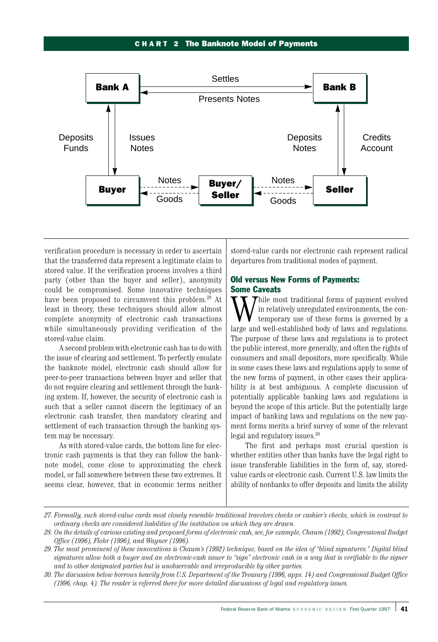#### CHA R T 2 The Banknote Model of Payments



verification procedure is necessary in order to ascertain that the transferred data represent a legitimate claim to stored value. If the verification process involves a third party (other than the buyer and seller), anonymity could be compromised. Some innovative techniques have been proposed to circumvent this problem.<sup>29</sup> At least in theory, these techniques should allow almost complete anonymity of electronic cash transactions while simultaneously providing verification of the stored-value claim.

A second problem with electronic cash has to do with the issue of clearing and settlement. To perfectly emulate the banknote model, electronic cash should allow for peer-to-peer transactions between buyer and seller that do not require clearing and settlement through the banking system. If, however, the security of electronic cash is such that a seller cannot discern the legitimacy of an electronic cash transfer, then mandatory clearing and settlement of each transaction through the banking system may be necessary.

As with stored-value cards, the bottom line for electronic cash payments is that they can follow the banknote model, come close to approximating the check model, or fall somewhere between these two extremes. It seems clear, however, that in economic terms neither stored-value cards nor electronic cash represent radical departures from traditional modes of payment.

# Old versus New Forms of Payments: Some Caveats

 $\tau$ hile most traditional forms of payment evolved in relatively unregulated environments, the contemporary use of these forms is governed by a large and well-established body of laws and regulations. The purpose of these laws and regulations is to protect the public interest, more generally, and often the rights of consumers and small depositors, more specifically. While in some cases these laws and regulations apply to some of the new forms of payment, in other cases their applicability is at best ambiguous. A complete discussion of potentially applicable banking laws and regulations is beyond the scope of this article. But the potentially large impact of banking laws and regulations on the new payment forms merits a brief survey of some of the relevant legal and regulatory issues.30

The first and perhaps most crucial question is whether entities other than banks have the legal right to issue transferable liabilities in the form of, say, storedvalue cards or electronic cash. Current U.S. law limits the ability of nonbanks to offer deposits and limits the ability

*<sup>27.</sup> Formally, such stored-value cards most closely resemble traditional travelers checks or cashier's checks, which in contrast to ordinary checks are considered liabilities of the institution on which they are drawn.*

*<sup>28.</sup> On the details of various existing and proposed forms of electronic cash, see, for example, Chaum (1992), Congressional Budget Office (1996), Flohr (1996), and Wayner (1996).*

*<sup>29.</sup> The most prominent of these innovations is Chaum's (1992) technique, based on the idea of "blind signatures." Digital blind signatures allow both a buyer and an electronic-cash issuer to "sign" electronic cash in a way that is verifiable to the signer and to other designated parties but is unobservable and irreproducible by other parties.*

*<sup>30.</sup> The discussion below borrows heavily from U.S. Department of the Treasury (1996, apps. 14) and Congressional Budget Office (1996, chap. 4). The reader is referred there for more detailed discussions of legal and regulatory issues.*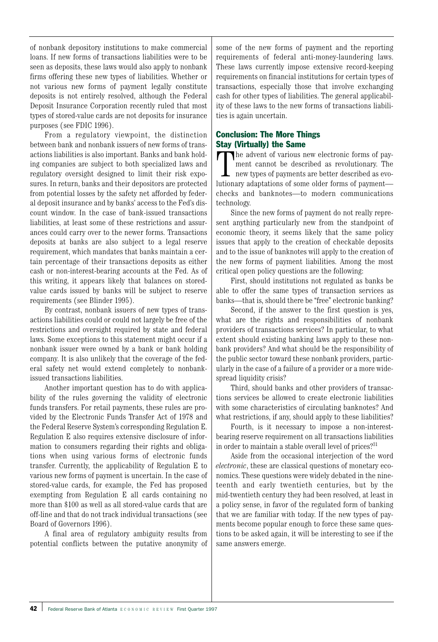of nonbank depository institutions to make commercial loans. If new forms of transactions liabilities were to be seen as deposits, these laws would also apply to nonbank firms offering these new types of liabilities. Whether or not various new forms of payment legally constitute deposits is not entirely resolved, although the Federal Deposit Insurance Corporation recently ruled that most types of stored-value cards are not deposits for insurance purposes (see FDIC 1996).

From a regulatory viewpoint, the distinction between bank and nonbank issuers of new forms of transactions liabilities is also important. Banks and bank holding companies are subject to both specialized laws and regulatory oversight designed to limit their risk exposures. In return, banks and their depositors are protected from potential losses by the safety net afforded by federal deposit insurance and by banks' access to the Fed's discount window. In the case of bank-issued transactions liabilities, at least some of these restrictions and assurances could carry over to the newer forms. Transactions deposits at banks are also subject to a legal reserve requirement, which mandates that banks maintain a certain percentage of their transactions deposits as either cash or non-interest-bearing accounts at the Fed. As of this writing, it appears likely that balances on storedvalue cards issued by banks will be subject to reserve requirements (see Blinder 1995).

By contrast, nonbank issuers of new types of transactions liabilities could or could not largely be free of the restrictions and oversight required by state and federal laws. Some exceptions to this statement might occur if a nonbank issuer were owned by a bank or bank holding company. It is also unlikely that the coverage of the federal safety net would extend completely to nonbankissued transactions liabilities.

Another important question has to do with applicability of the rules governing the validity of electronic funds transfers. For retail payments, these rules are provided by the Electronic Funds Transfer Act of 1978 and the Federal Reserve System's corresponding Regulation E. Regulation E also requires extensive disclosure of information to consumers regarding their rights and obligations when using various forms of electronic funds transfer. Currently, the applicability of Regulation E to various new forms of payment is uncertain. In the case of stored-value cards, for example, the Fed has proposed exempting from Regulation E all cards containing no more than \$100 as well as all stored-value cards that are off-line and that do not track individual transactions (see Board of Governors 1996).

A final area of regulatory ambiguity results from potential conflicts between the putative anonymity of some of the new forms of payment and the reporting requirements of federal anti-money-laundering laws. These laws currently impose extensive record-keeping requirements on financial institutions for certain types of transactions, especially those that involve exchanging cash for other types of liabilities. The general applicability of these laws to the new forms of transactions liabilities is again uncertain.

# Conclusion: The More Things Stay (Virtually) the Same

The advent of various new electronic forms of payment cannot be described as revolutionary. The new types of payments are better described as evolutionary adaptations of some older forms of payment he advent of various new electronic forms of payment cannot be described as revolutionary. The new types of payments are better described as evochecks and banknotes—to modern communications technology.

Since the new forms of payment do not really represent anything particularly new from the standpoint of economic theory, it seems likely that the same policy issues that apply to the creation of checkable deposits and to the issue of banknotes will apply to the creation of the new forms of payment liabilities. Among the most critical open policy questions are the following:

First, should institutions not regulated as banks be able to offer the same types of transaction services as banks—that is, should there be "free" electronic banking?

Second, if the answer to the first question is yes, what are the rights and responsibilities of nonbank providers of transactions services? In particular, to what extent should existing banking laws apply to these nonbank providers? And what should be the responsibility of the public sector toward these nonbank providers, particularly in the case of a failure of a provider or a more widespread liquidity crisis?

Third, should banks and other providers of transactions services be allowed to create electronic liabilities with some characteristics of circulating banknotes? And what restrictions, if any, should apply to these liabilities?

Fourth, is it necessary to impose a non-interestbearing reserve requirement on all transactions liabilities in order to maintain a stable overall level of prices?<sup>31</sup>

Aside from the occasional interjection of the word *electronic*, these are classical questions of monetary economics. These questions were widely debated in the nineteenth and early twentieth centuries, but by the mid-twentieth century they had been resolved, at least in a policy sense, in favor of the regulated form of banking that we are familiar with today. If the new types of payments become popular enough to force these same questions to be asked again, it will be interesting to see if the same answers emerge.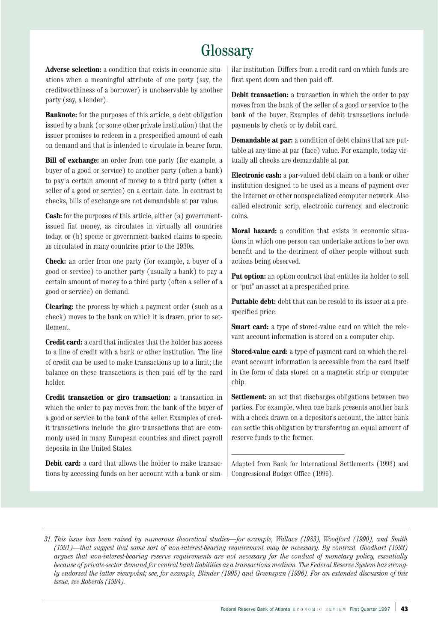# **Glossary**

**Adverse selection:** a condition that exists in economic situations when a meaningful attribute of one party (say, the creditworthiness of a borrower) is unobservable by another party (say, a lender).

**Banknote:** for the purposes of this article, a debt obligation issued by a bank (or some other private institution) that the issuer promises to redeem in a prespecified amount of cash on demand and that is intended to circulate in bearer form.

**Bill of exchange:** an order from one party (for example, a buyer of a good or service) to another party (often a bank) to pay a certain amount of money to a third party (often a seller of a good or service) on a certain date. In contrast to checks, bills of exchange are not demandable at par value.

**Cash:** for the purposes of this article, either (a) governmentissued fiat money, as circulates in virtually all countries today, or (b) specie or government-backed claims to specie, as circulated in many countries prior to the 1930s.

**Check:** an order from one party (for example, a buyer of a good or service) to another party (usually a bank) to pay a certain amount of money to a third party (often a seller of a good or service) on demand.

**Clearing:** the process by which a payment order (such as a check) moves to the bank on which it is drawn, prior to settlement.

**Credit card:** a card that indicates that the holder has access to a line of credit with a bank or other institution. The line of credit can be used to make transactions up to a limit; the balance on these transactions is then paid off by the card holder.

**Credit transaction or giro transaction:** a transaction in which the order to pay moves from the bank of the buyer of a good or service to the bank of the seller. Examples of credit transactions include the giro transactions that are commonly used in many European countries and direct payroll deposits in the United States.

**Debit card:** a card that allows the holder to make transactions by accessing funds on her account with a bank or sim-

ilar institution. Differs from a credit card on which funds are first spent down and then paid off.

**Debit transaction:** a transaction in which the order to pay moves from the bank of the seller of a good or service to the bank of the buyer. Examples of debit transactions include payments by check or by debit card.

**Demandable at par:** a condition of debt claims that are puttable at any time at par (face) value. For example, today virtually all checks are demandable at par.

**Electronic cash:** a par-valued debt claim on a bank or other institution designed to be used as a means of payment over the Internet or other nonspecialized computer network. Also called electronic scrip, electronic currency, and electronic coins.

**Moral hazard:** a condition that exists in economic situations in which one person can undertake actions to her own benefit and to the detriment of other people without such actions being observed.

**Put option:** an option contract that entitles its holder to sell or "put" an asset at a prespecified price.

**Puttable debt:** debt that can be resold to its issuer at a prespecified price.

**Smart card:** a type of stored-value card on which the relevant account information is stored on a computer chip.

**Stored-value card:** a type of payment card on which the relevant account information is accessible from the card itself in the form of data stored on a magnetic strip or computer chip.

**Settlement:** an act that discharges obligations between two parties. For example, when one bank presents another bank with a check drawn on a depositor's account, the latter bank can settle this obligation by transferring an equal amount of reserve funds to the former.

Adapted from Bank for International Settlements (1993) and Congressional Budget Office (1996).

——————————————

*31. This issue has been raised by numerous theoretical studies—for example, Wallace (1983), Woodford (1990), and Smith (1991)—that suggest that some sort of non-interest-bearing requirement may be necessary. By contrast, Goodhart (1993) argues that non-interest-bearing reserve requirements are not necessary for the conduct of monetary policy, essentially because of private-sector demand for central bank liabilities as a transactions medium. The Federal Reserve System has strongly endorsed the latter viewpoint; see, for example, Blinder (1995) and Greenspan (1996). For an extended discussion of this issue, see Roberds (1994).*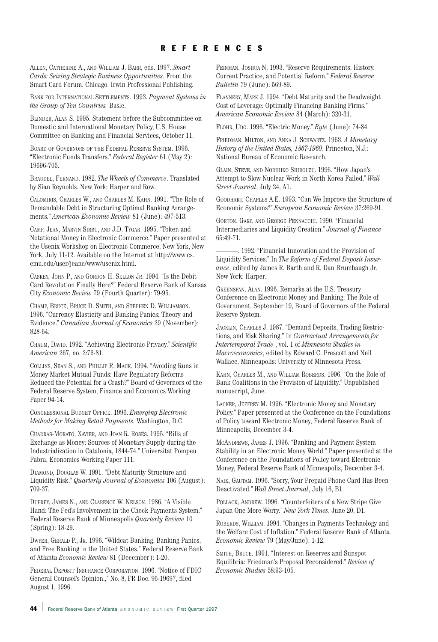# REFERENCES

ALLEN, CATHERINE A., AND WILLIAM J. BARR, eds. 1997. *Smart Cards: Seizing Strategic Business Opportunities*. From the Smart Card Forum. Chicago: Irwin Professional Publishing.

BANK FOR INTERNATIONAL SETTLEMENTS. 1993. *Payment Systems in the Group of Ten Countries.* Basle.

BLINDER, ALAN S. 1995. Statement before the Subcommittee on Domestic and International Monetary Policy, U.S. House Committee on Banking and Financial Services, October 11.

BOARD OF GOVERNORS OF THE FEDERAL RESERVE SYSTEM. 1996. "Electronic Funds Transfers." *Federal Register* 61 (May 2): 19696-705.

BRAUDEL, FERNAND. 1982. *The Wheels of Commerce*. Translated by Sîan Reynolds. New York: Harper and Row.

CALOMIRIS, CHARLES W., AND CHARLES M. KAHN. 1991. "The Role of Demandable Debt in Structuring Optimal Banking Arrangements." *American Economic Review* 81 (June): 497-513.

CAMP, JEAN, MARVIN SIRBU, AND J.D. TYGAR. 1995. "Token and Notational Money in Electronic Commerce." Paper presented at the Usenix Workshop on Electronic Commerce, New York, New York, July 11-12. Available on the Internet at http://www.cs. cmu.edu/user/jeanc/www/usenix.html.

CASKEY, JOHN P., AND GORDON H. SELLON JR. 1994. "Is the Debit Card Revolution Finally Here?" Federal Reserve Bank of Kansas City *Economic Review* 79 (Fourth Quarter): 79-95.

CHAMP, BRUCE, BRUCE D. SMITH, AND STEPHEN D. WILLIAMSON. 1996. "Currency Elasticity and Banking Panics: Theory and Evidence." *Canadian Journal of Economics* 29 (November): 828-64.

CHAUM, DAVID. 1992. "Achieving Electronic Privacy." *Scientific American* 267, no. 2:76-81.

COLLINS, SEAN S., AND PHILLIP R. MACK. 1994. "Avoiding Runs in Money Market Mutual Funds: Have Regulatory Reforms Reduced the Potential for a Crash?" Board of Governors of the Federal Reserve System, Finance and Economics Working Paper 94-14.

CONGRESSIONAL BUDGET OFFICE. 1996. *Emerging Electronic Methods for Making Retail Payments.* Washington, D.C.

CUADRAS-MORATÓ, XAVIER, AND JOAN R. ROSÉS. 1995. "Bills of Exchange as Money: Sources of Monetary Supply during the Industrialization in Catalonia, 1844-74." Universitat Pompeu Fabra, Economics Working Paper 111.

DIAMOND, DOUGLAS W. 1991. "Debt Maturity Structure and Liquidity Risk." *Quarterly Journal of Economics* 106 (August): 709-37.

DUPREY, JAMES N., AND CLARENCE W. NELSON. 1986. "A Visible Hand: The Fed's Involvement in the Check Payments System." Federal Reserve Bank of Minneapolis *Quarterly Review* 10 (Spring): 18-29.

DWYER, GERALD P., JR. 1996. "Wildcat Banking, Banking Panics, and Free Banking in the United States." Federal Reserve Bank of Atlanta *Economic Review* 81 (December): 1-20.

FEDERAL DEPOSIT INSURANCE CORPORATION. 1996. "Notice of FDIC General Counsel's Opinion.," No. 8, FR Doc. 96-19697, filed August 1, 1996.

FEINMAN, JOSHUA N. 1993. "Reserve Requirements: History, Current Practice, and Potential Reform." *Federal Reserve Bulletin* 79 (June): 569-89.

FLANNERY, MARK J. 1994. "Debt Maturity and the Deadweight Cost of Leverage: Optimally Financing Banking Firms." *American Economic Review* 84 (March): 320-31.

FLOHR, UDO. 1996. "Electric Money." *Byte* (June): 74-84.

FRIEDMAN, MILTON, AND ANNA J. SCHWARTZ. 1963. *A Monetary History of the United States, 1867-1960.* Princeton, N.J.: National Bureau of Economic Research.

GLAIN, STEVE, AND NORIHIKO SHIROUZU. 1996. "How Japan's Attempt to Slow Nuclear Work in North Korea Failed." *Wall Street Journal*, July 24, A1.

GOODHART, CHARLES A.E. 1993. "Can We Improve the Structure of Economic Systems?" *European Economic Review* 37:269-91.

GORTON, GARY, AND GEORGE PENNACCHI. 1990. "Financial Intermediaries and Liquidity Creation." *Journal of Finance* 65:49-71.

———. 1992. "Financial Innovation and the Provision of Liquidity Services." In *The Reform of Federal Deposit Insurance*, edited by James R. Barth and R. Dan Brumbaugh Jr. New York: Harper.

GREENSPAN, ALAN. 1996. Remarks at the U.S. Treasury Conference on Electronic Money and Banking: The Role of Government, September 19, Board of Governors of the Federal Reserve System.

JACKLIN, CHARLES J. 1987. "Demand Deposits, Trading Restrictions, and Risk Sharing." In *Contractual Arrangements for Intertemporal Trade* , vol. 1 of *Minnesota Studies in Macroeconomics*, edited by Edward C. Prescott and Neil Wallace. Minneapolis: University of Minnesota Press.

KAHN, CHARLES M., AND WILLIAM ROBERDS. 1996. "On the Role of Bank Coalitions in the Provision of Liquidity." Unpublished manuscript, June.

LACKER, JEFFREY M. 1996. "Electronic Money and Monetary Policy." Paper presented at the Conference on the Foundations of Policy toward Electronic Money, Federal Reserve Bank of Minneapolis, December 3-4.

MCANDREWS, JAMES J. 1996. "Banking and Payment System Stability in an Electronic Money World." Paper presented at the Conference on the Foundations of Policy toward Electronic Money, Federal Reserve Bank of Minneapolis, December 3-4.

NAIK, GAUTAM. 1996. "Sorry, Your Prepaid Phone Card Has Been Deactivated." *Wall Street Journal*, July 16, B1.

POLLACK, ANDREW. 1996. "Counterfeiters of a New Stripe Give Japan One More Worry." *New York Times*, June 20, D1.

ROBERDS, WILLIAM. 1994. "Changes in Payments Technology and the Welfare Cost of Inflation." Federal Reserve Bank of Atlanta *Economic Review* 79 (May/June): 1-12.

SMITH, BRUCE. 1991. "Interest on Reserves and Sunspot Equilibria: Friedman's Proposal Reconsidered." *Review of Economic Studies* 58:93-105.